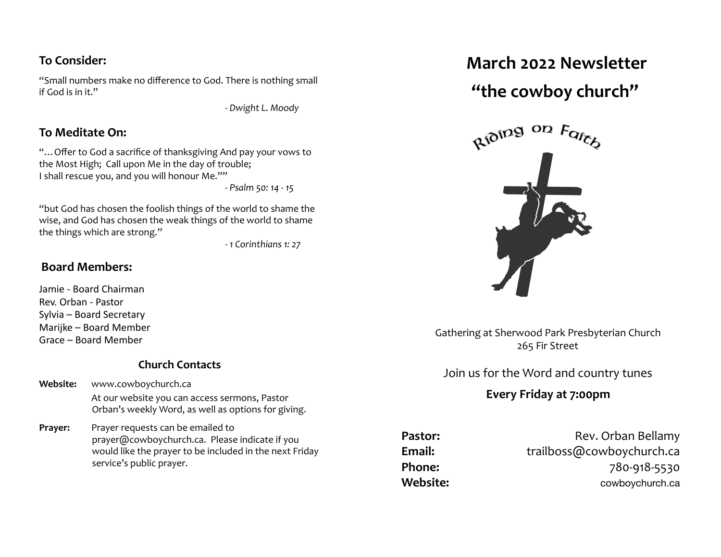## **To Consider:**

"Small numbers make no difference to God. There is nothing small if God is in it."

*- Dwight L. Moody*

#### **To Meditate On:**

"... Offer to God a sacrifice of thanksgiving And pay your vows to the Most High; Call upon Me in the day of trouble; I shall rescue you, and you will honour Me.""

*-* Psalm 50: 14 - 15

"but God has chosen the foolish things of the world to shame the wise, and God has chosen the weak things of the world to shame the things which are strong."

 *- 1 Corinthians 1: 27* 

### **Board Members:**

Jamie - Board Chairman Rev. Orban - Pastor Sylvia - Board Secretary Marijke – Board Member Grace – Board Member 

#### **Church Contacts**

- **Website:** [www.cowboychurch.ca](http://www.cowboychurch.ca) At our website you can access sermons, Pastor Orban's weekly Word, as well as options for giving.
- **Prayer:** Prayer requests can be emailed to prayer@cowboychurch.ca. Please indicate if you would like the prayer to be included in the next Friday service's public prayer.

# **March 2022 Newsletter**

# "the cowboy church"



Gathering at Sherwood Park Presbyterian Church 265 Fir Street

# Join us for the Word and country tunes

# Every Friday at 7:00pm

**Pastor:** Rev. Orban Bellamy Email: trailboss@cowboychurch.ca **Phone:** 780-918-5530 **Website:** Website: The cowboychurch.ca